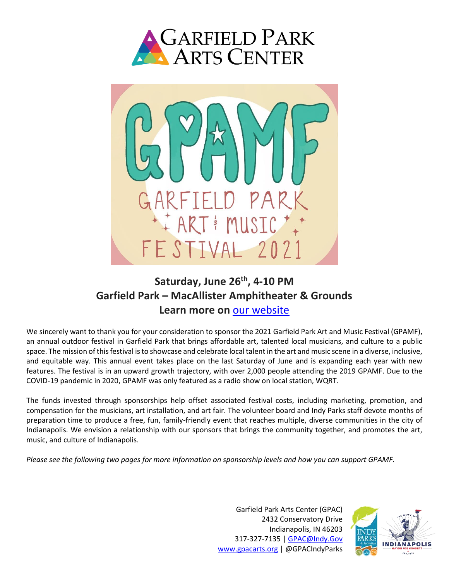



# **Saturday, June 26th, 4-10 PM Garfield Park – MacAllister Amphitheater & Grounds Learn more on** [our website](https://www.gpacarts.org/gpamf)

We sincerely want to thank you for your consideration to sponsor the 2021 Garfield Park Art and Music Festival (GPAMF), an annual outdoor festival in Garfield Park that brings affordable art, talented local musicians, and culture to a public space. The mission of this festival is to showcase and celebrate local talent in the art and music scene in a diverse, inclusive, and equitable way. This annual event takes place on the last Saturday of June and is expanding each year with new features. The festival is in an upward growth trajectory, with over 2,000 people attending the 2019 GPAMF. Due to the COVID-19 pandemic in 2020, GPAMF was only featured as a radio show on local station, WQRT.

The funds invested through sponsorships help offset associated festival costs, including marketing, promotion, and compensation for the musicians, art installation, and art fair. The volunteer board and Indy Parks staff devote months of preparation time to produce a free, fun, family-friendly event that reaches multiple, diverse communities in the city of Indianapolis. We envision a relationship with our sponsors that brings the community together, and promotes the art, music, and culture of Indianapolis.

*Please see the following two pages for more information on sponsorship levels and how you can support GPAMF.*

Garfield Park Arts Center (GPAC) 2432 Conservatory Drive Indianapolis, IN 46203 317-327-7135 | [GPAC@Indy.Gov](mailto:GPAC@Indy.Gov) [www.gpacarts.org](http://www.gpacarts.org/) | @GPACIndyParks

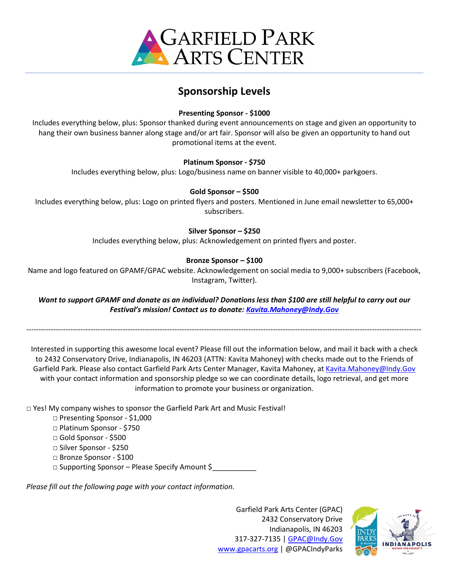

## **Sponsorship Levels**

### **Presenting Sponsor - \$1000**

Includes everything below, plus: Sponsor thanked during event announcements on stage and given an opportunity to hang their own business banner along stage and/or art fair. Sponsor will also be given an opportunity to hand out promotional items at the event.

#### **Platinum Sponsor - \$750**

Includes everything below, plus: Logo/business name on banner visible to 40,000+ parkgoers.

#### **Gold Sponsor – \$500**

Includes everything below, plus: Logo on printed flyers and posters. Mentioned in June email newsletter to 65,000+ subscribers.

#### **Silver Sponsor – \$250**

Includes everything below, plus: Acknowledgement on printed flyers and poster.

#### **Bronze Sponsor – \$100**

Name and logo featured on GPAMF/GPAC website. Acknowledgement on social media to 9,000+ subscribers (Facebook, Instagram, Twitter).

*Want to support GPAMF and donate as an individual? Donations less than \$100 are still helpful to carry out our Festival's mission! Contact us to donate: [Kavita.Mahoney@Indy.Gov](mailto:Kavita.Mahoney@Indy.Gov)*

----------------------------------------------------------------------------------------------------------------------------------------------------------------

Interested in supporting this awesome local event? Please fill out the information below, and mail it back with a check to 2432 Conservatory Drive, Indianapolis, IN 46203 (ATTN: Kavita Mahoney) with checks made out to the Friends of Garfield Park. Please also contact Garfield Park Arts Center Manager, Kavita Mahoney, at [Kavita.Mahoney@Indy.Gov](mailto:Kavita.Mahoney@Indy.Gov) with your contact information and sponsorship pledge so we can coordinate details, logo retrieval, and get more information to promote your business or organization.

□ Yes! My company wishes to sponsor the Garfield Park Art and Music Festival!

- □ Presenting Sponsor \$1,000 □ Platinum Sponsor - \$750 □ Gold Sponsor - \$500 □ Silver Sponsor - \$250 □ Bronze Sponsor - \$100
- □ Supporting Sponsor Please Specify Amount \$

*Please fill out the following page with your contact information.*

Garfield Park Arts Center (GPAC) 2432 Conservatory Drive Indianapolis, IN 46203 317-327-7135 | [GPAC@Indy.Gov](mailto:GPAC@Indy.Gov) [www.gpacarts.org](http://www.gpacarts.org/) | @GPACIndyParks